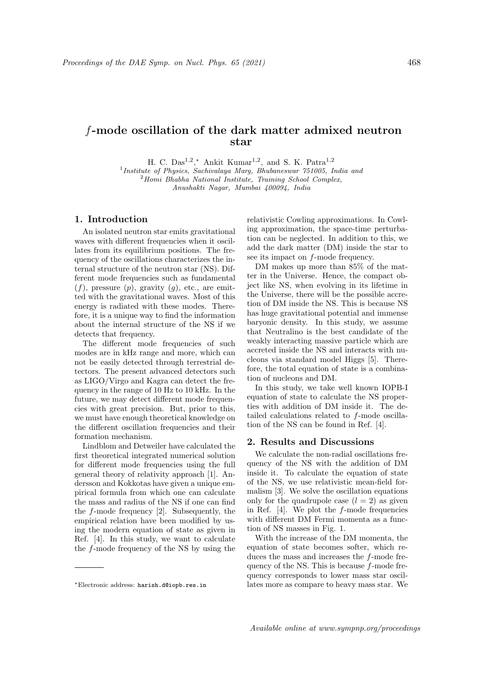## f-mode oscillation of the dark matter admixed neutron star

H. C.  $Das<sup>1,2</sup>$ ,  $*$  Ankit Kumar<sup>1,2</sup>, and S. K. Patra<sup>1,2</sup>

<sup>1</sup>Institute of Physics, Sachivalaya Marg, Bhubaneswar 751005, India and  $2$ Homi Bhabha National Institute, Training School Complex, Anushakti Nagar, Mumbai 400094, India

## 1. Introduction

An isolated neutron star emits gravitational waves with different frequencies when it oscillates from its equilibrium positions. The frequency of the oscillations characterizes the internal structure of the neutron star (NS). Different mode frequencies such as fundamental  $(f)$ , pressure  $(p)$ , gravity  $(g)$ , etc., are emitted with the gravitational waves. Most of this energy is radiated with these modes. Therefore, it is a unique way to find the information about the internal structure of the NS if we detects that frequency.

The different mode frequencies of such modes are in kHz range and more, which can not be easily detected through terrestrial detectors. The present advanced detectors such as LIGO/Virgo and Kagra can detect the frequency in the range of 10 Hz to 10 kHz. In the future, we may detect different mode frequencies with great precision. But, prior to this, we must have enough theoretical knowledge on the different oscillation frequencies and their formation mechanism.

Lindblom and Detweiler have calculated the first theoretical integrated numerical solution for different mode frequencies using the full general theory of relativity approach [1]. Andersson and Kokkotas have given a unique empirical formula from which one can calculate the mass and radius of the NS if one can find the f-mode frequency [2]. Subsequently, the empirical relation have been modified by using the modern equation of state as given in Ref. [4]. In this study, we want to calculate the f-mode frequency of the NS by using the relativistic Cowling approximations. In Cowling approximation, the space-time perturbation can be neglected. In addition to this, we add the dark matter (DM) inside the star to see its impact on f-mode frequency.

DM makes up more than 85% of the matter in the Universe. Hence, the compact object like NS, when evolving in its lifetime in the Universe, there will be the possible accretion of DM inside the NS. This is because NS has huge gravitational potential and immense baryonic density. In this study, we assume that Neutralino is the best candidate of the weakly interacting massive particle which are accreted inside the NS and interacts with nucleons via standard model Higgs [5]. Therefore, the total equation of state is a combination of nucleons and DM.

In this study, we take well known IOPB-I equation of state to calculate the NS properties with addition of DM inside it. The detailed calculations related to f-mode oscillation of the NS can be found in Ref. [4].

## 2. Results and Discussions

We calculate the non-radial oscillations frequency of the NS with the addition of DM inside it. To calculate the equation of state of the NS, we use relativistic mean-field formalism [3]. We solve the oscillation equations only for the quadrupole case  $(l = 2)$  as given in Ref.  $[4]$ . We plot the f-mode frequencies with different DM Fermi momenta as a function of NS masses in Fig. 1.

With the increase of the DM momenta, the equation of state becomes softer, which reduces the mass and increases the f-mode frequency of the NS. This is because f-mode frequency corresponds to lower mass star oscillates more as compare to heavy mass star. We

<sup>∗</sup>Electronic address: harish.d@iopb.res.in